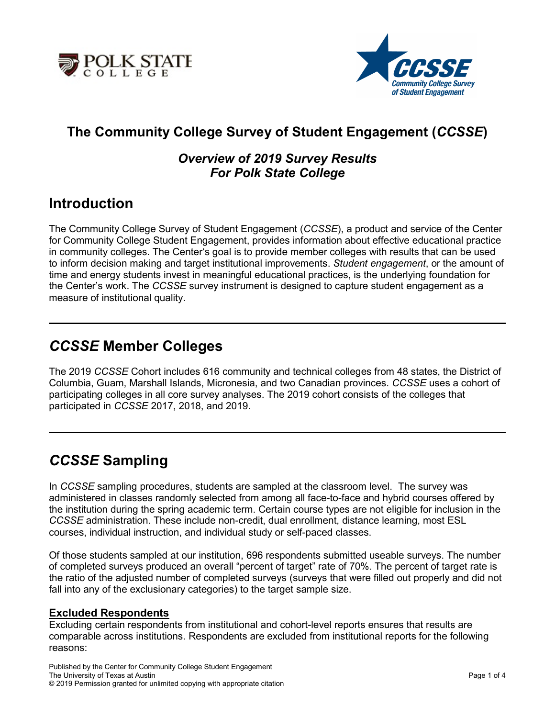



# **The Community College Survey of Student Engagement (***CCSSE***)**

### *Overview of 2019 Survey Results For Polk State College*

## **Introduction**

The Community College Survey of Student Engagement (*CCSSE*), a product and service of the Center for Community College Student Engagement, provides information about effective educational practice in community colleges. The Center's goal is to provide member colleges with results that can be used to inform decision making and target institutional improvements. *Student engagement*, or the amount of time and energy students invest in meaningful educational practices, is the underlying foundation for the Center's work. The *CCSSE* survey instrument is designed to capture student engagement as a measure of institutional quality.

## *CCSSE* **Member Colleges**

The 2019 *CCSSE* Cohort includes 616 community and technical colleges from 48 states, the District of Columbia, Guam, Marshall Islands, Micronesia, and two Canadian provinces. *CCSSE* uses a cohort of participating colleges in all core survey analyses. The 2019 cohort consists of the colleges that participated in *CCSSE* 2017, 2018, and 2019.

# *CCSSE* **Sampling**

In *CCSSE* sampling procedures, students are sampled at the classroom level. The survey was administered in classes randomly selected from among all face-to-face and hybrid courses offered by the institution during the spring academic term. Certain course types are not eligible for inclusion in the *CCSSE* administration. These include non-credit, dual enrollment, distance learning, most ESL courses, individual instruction, and individual study or self-paced classes.

Of those students sampled at our institution, 696 respondents submitted useable surveys. The number of completed surveys produced an overall "percent of target" rate of 70%. The percent of target rate is the ratio of the adjusted number of completed surveys (surveys that were filled out properly and did not fall into any of the exclusionary categories) to the target sample size.

#### **Excluded Respondents**

Excluding certain respondents from institutional and cohort-level reports ensures that results are comparable across institutions. Respondents are excluded from institutional reports for the following reasons: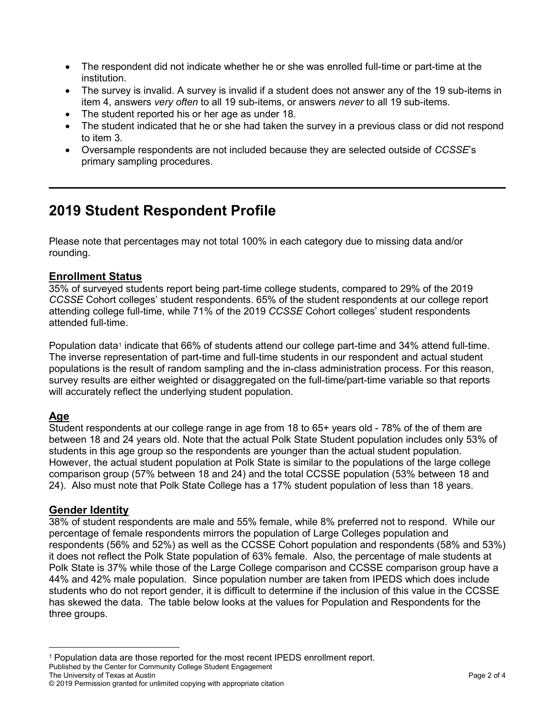- The respondent did not indicate whether he or she was enrolled full-time or part-time at the institution.
- The survey is invalid. A survey is invalid if a student does not answer any of the 19 sub-items in item 4, answers *very often* to all 19 sub-items, or answers *never* to all 19 sub-items.
- The student reported his or her age as under 18.
- The student indicated that he or she had taken the survey in a previous class or did not respond to item 3.
- Oversample respondents are not included because they are selected outside of *CCSSE*'s primary sampling procedures.

# **2019 Student Respondent Profile**

Please note that percentages may not total 100% in each category due to missing data and/or rounding.

#### **Enrollment Status**

35% of surveyed students report being part-time college students, compared to 29% of the 2019 *CCSSE* Cohort colleges' student respondents. 65% of the student respondents at our college report attending college full-time, while 71% of the 2019 *CCSSE* Cohort colleges' student respondents attended full-time.

Population data<sup>[1](#page-1-0)</sup> indicate that 66% of students attend our college part-time and 34% attend full-time. The inverse representation of part-time and full-time students in our respondent and actual student populations is the result of random sampling and the in-class administration process. For this reason, survey results are either weighted or disaggregated on the full-time/part-time variable so that reports will accurately reflect the underlying student population.

### **Age**

Student respondents at our college range in age from 18 to 65+ years old - 78% of the of them are between 18 and 24 years old. Note that the actual Polk State Student population includes only 53% of students in this age group so the respondents are younger than the actual student population. However, the actual student population at Polk State is similar to the populations of the large college comparison group (57% between 18 and 24) and the total CCSSE population (53% between 18 and 24). Also must note that Polk State College has a 17% student population of less than 18 years.

#### **Gender Identity**

38% of student respondents are male and 55% female, while 8% preferred not to respond. While our percentage of female respondents mirrors the population of Large Colleges population and respondents (56% and 52%) as well as the CCSSE Cohort population and respondents (58% and 53%) it does not reflect the Polk State population of 63% female. Also, the percentage of male students at Polk State is 37% while those of the Large College comparison and CCSSE comparison group have a 44% and 42% male population. Since population number are taken from IPEDS which does include students who do not report gender, it is difficult to determine if the inclusion of this value in the CCSSE has skewed the data. The table below looks at the values for Population and Respondents for the three groups.

<span id="page-1-0"></span>Published by the Center for Community College Student Engagement The University of Texas at Austin Page 2 of 4  $\overline{a}$ <sup>1</sup> Population data are those reported for the most recent IPEDS enrollment report.

<sup>©</sup> 2019 Permission granted for unlimited copying with appropriate citation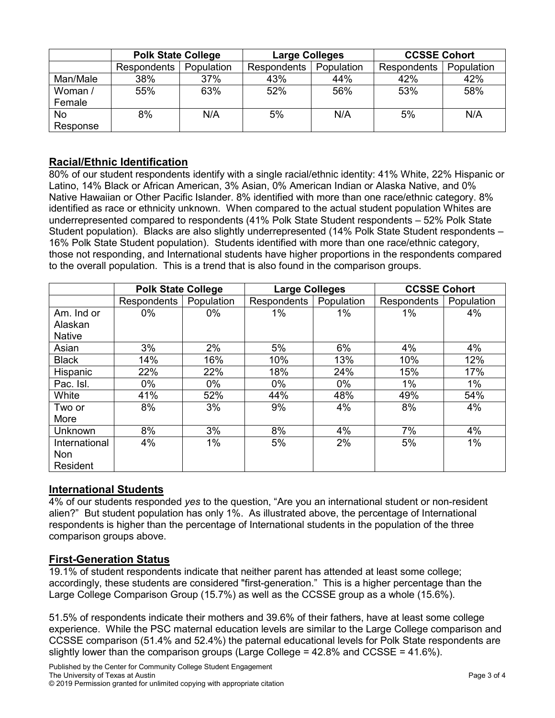|                       | <b>Polk State College</b> |            | <b>Large Colleges</b> |            | <b>CCSSE Cohort</b> |            |
|-----------------------|---------------------------|------------|-----------------------|------------|---------------------|------------|
|                       | <b>Respondents</b>        | Population | Respondents           | Population | <b>Respondents</b>  | Population |
| Man/Male              | 38%                       | 37%        | 43%                   | 44%        | 42%                 | 42%        |
| Woman /<br>Female     | 55%                       | 63%        | 52%                   | 56%        | 53%                 | 58%        |
| <b>No</b><br>Response | 8%                        | N/A        | 5%                    | N/A        | 5%                  | N/A        |

#### **Racial/Ethnic Identification**

80% of our student respondents identify with a single racial/ethnic identity: 41% White, 22% Hispanic or Latino, 14% Black or African American, 3% Asian, 0% American Indian or Alaska Native, and 0% Native Hawaiian or Other Pacific Islander. 8% identified with more than one race/ethnic category. 8% identified as race or ethnicity unknown. When compared to the actual student population Whites are underrepresented compared to respondents (41% Polk State Student respondents – 52% Polk State Student population). Blacks are also slightly underrepresented (14% Polk State Student respondents – 16% Polk State Student population). Students identified with more than one race/ethnic category, those not responding, and International students have higher proportions in the respondents compared to the overall population. This is a trend that is also found in the comparison groups.

|               | <b>Polk State College</b> |            | <b>Large Colleges</b> |            | <b>CCSSE Cohort</b> |            |
|---------------|---------------------------|------------|-----------------------|------------|---------------------|------------|
|               | Respondents               | Population | Respondents           | Population | Respondents         | Population |
| Am. Ind or    | $0\%$                     | $0\%$      | 1%                    | $1\%$      | $1\%$               | 4%         |
| Alaskan       |                           |            |                       |            |                     |            |
| <b>Native</b> |                           |            |                       |            |                     |            |
| Asian         | 3%                        | 2%         | 5%                    | 6%         | 4%                  | 4%         |
| <b>Black</b>  | 14%                       | 16%        | 10%                   | 13%        | 10%                 | 12%        |
| Hispanic      | 22%                       | 22%        | 18%                   | 24%        | 15%                 | 17%        |
| Pac. Isl.     | 0%                        | 0%         | $0\%$                 | 0%         | 1%                  | $1\%$      |
| White         | 41%                       | 52%        | 44%                   | 48%        | 49%                 | 54%        |
| Two or        | 8%                        | 3%         | 9%                    | 4%         | 8%                  | 4%         |
| More          |                           |            |                       |            |                     |            |
| Unknown       | 8%                        | 3%         | 8%                    | 4%         | 7%                  | 4%         |
| International | 4%                        | $1\%$      | 5%                    | 2%         | 5%                  | $1\%$      |
| Non           |                           |            |                       |            |                     |            |
| Resident      |                           |            |                       |            |                     |            |

#### **International Students**

4% of our students responded *yes* to the question, "Are you an international student or non-resident alien?" But student population has only 1%. As illustrated above, the percentage of International respondents is higher than the percentage of International students in the population of the three comparison groups above.

#### **First-Generation Status**

19.1% of student respondents indicate that neither parent has attended at least some college; accordingly, these students are considered "first-generation." This is a higher percentage than the Large College Comparison Group (15.7%) as well as the CCSSE group as a whole (15.6%).

51.5% of respondents indicate their mothers and 39.6% of their fathers, have at least some college experience. While the PSC maternal education levels are similar to the Large College comparison and CCSSE comparison (51.4% and 52.4%) the paternal educational levels for Polk State respondents are slightly lower than the comparison groups (Large College = 42.8% and CCSSE = 41.6%).